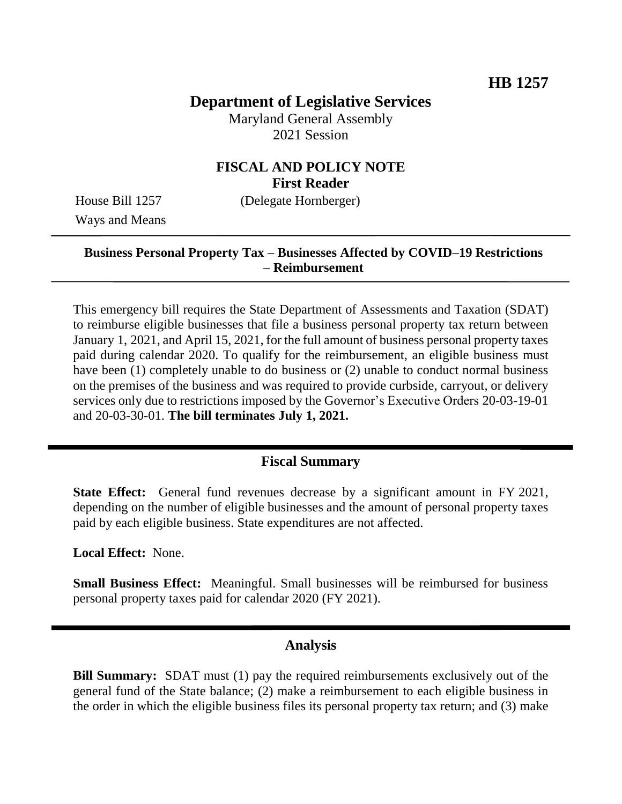## **Department of Legislative Services**

Maryland General Assembly 2021 Session

# **FISCAL AND POLICY NOTE First Reader**

Ways and Means

House Bill 1257 (Delegate Hornberger)

### **Business Personal Property Tax – Businesses Affected by COVID–19 Restrictions – Reimbursement**

This emergency bill requires the State Department of Assessments and Taxation (SDAT) to reimburse eligible businesses that file a business personal property tax return between January 1, 2021, and April 15, 2021, for the full amount of business personal property taxes paid during calendar 2020. To qualify for the reimbursement, an eligible business must have been (1) completely unable to do business or (2) unable to conduct normal business on the premises of the business and was required to provide curbside, carryout, or delivery services only due to restrictions imposed by the Governor's Executive Orders 20-03-19-01 and 20-03-30-01. **The bill terminates July 1, 2021.**

## **Fiscal Summary**

**State Effect:** General fund revenues decrease by a significant amount in FY 2021, depending on the number of eligible businesses and the amount of personal property taxes paid by each eligible business. State expenditures are not affected.

**Local Effect:** None.

**Small Business Effect:** Meaningful. Small businesses will be reimbursed for business personal property taxes paid for calendar 2020 (FY 2021).

#### **Analysis**

**Bill Summary:** SDAT must (1) pay the required reimbursements exclusively out of the general fund of the State balance; (2) make a reimbursement to each eligible business in the order in which the eligible business files its personal property tax return; and (3) make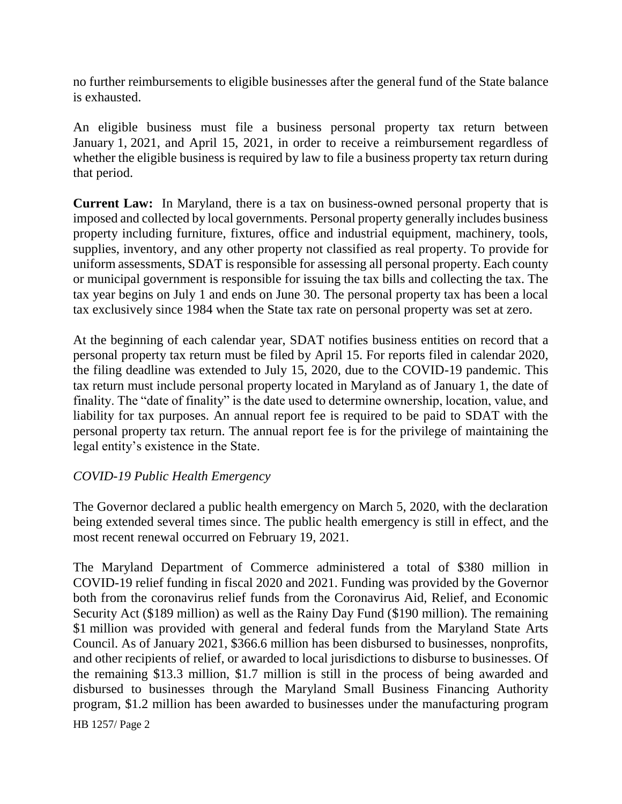no further reimbursements to eligible businesses after the general fund of the State balance is exhausted.

An eligible business must file a business personal property tax return between January 1, 2021, and April 15, 2021, in order to receive a reimbursement regardless of whether the eligible business is required by law to file a business property tax return during that period.

**Current Law:** In Maryland, there is a tax on business-owned personal property that is imposed and collected by local governments. Personal property generally includes business property including furniture, fixtures, office and industrial equipment, machinery, tools, supplies, inventory, and any other property not classified as real property. To provide for uniform assessments, SDAT is responsible for assessing all personal property. Each county or municipal government is responsible for issuing the tax bills and collecting the tax. The tax year begins on July 1 and ends on June 30. The personal property tax has been a local tax exclusively since 1984 when the State tax rate on personal property was set at zero.

At the beginning of each calendar year, SDAT notifies business entities on record that a personal property tax return must be filed by April 15. For reports filed in calendar 2020, the filing deadline was extended to July 15, 2020, due to the COVID-19 pandemic. This tax return must include personal property located in Maryland as of January 1, the date of finality. The "date of finality" is the date used to determine ownership, location, value, and liability for tax purposes. An annual report fee is required to be paid to SDAT with the personal property tax return. The annual report fee is for the privilege of maintaining the legal entity's existence in the State.

## *COVID-19 Public Health Emergency*

The Governor declared a public health emergency on March 5, 2020, with the declaration being extended several times since. The public health emergency is still in effect, and the most recent renewal occurred on February 19, 2021.

The Maryland Department of Commerce administered a total of \$380 million in COVID-19 relief funding in fiscal 2020 and 2021. Funding was provided by the Governor both from the coronavirus relief funds from the Coronavirus Aid, Relief, and Economic Security Act (\$189 million) as well as the Rainy Day Fund (\$190 million). The remaining \$1 million was provided with general and federal funds from the Maryland State Arts Council. As of January 2021, \$366.6 million has been disbursed to businesses, nonprofits, and other recipients of relief, or awarded to local jurisdictions to disburse to businesses. Of the remaining \$13.3 million, \$1.7 million is still in the process of being awarded and disbursed to businesses through the Maryland Small Business Financing Authority program, \$1.2 million has been awarded to businesses under the manufacturing program

HB 1257/ Page 2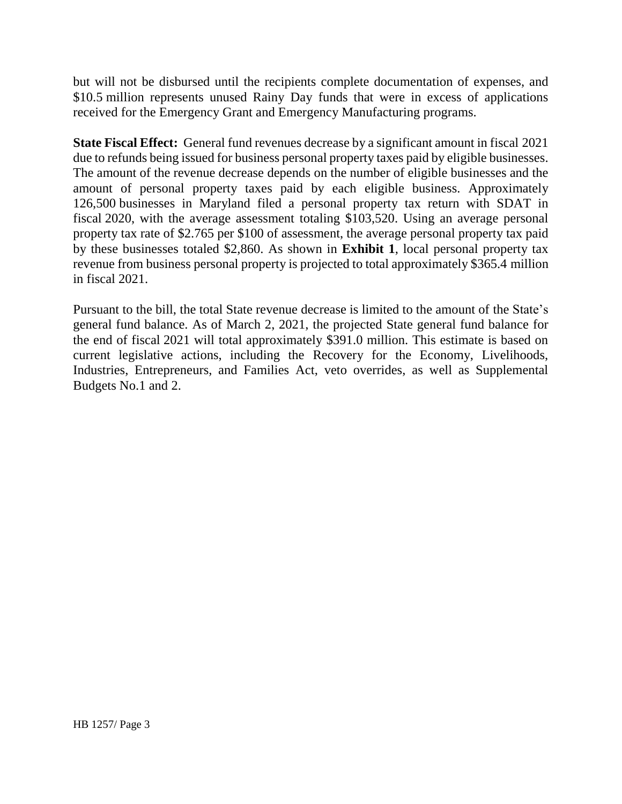but will not be disbursed until the recipients complete documentation of expenses, and \$10.5 million represents unused Rainy Day funds that were in excess of applications received for the Emergency Grant and Emergency Manufacturing programs.

**State Fiscal Effect:** General fund revenues decrease by a significant amount in fiscal 2021 due to refunds being issued for business personal property taxes paid by eligible businesses. The amount of the revenue decrease depends on the number of eligible businesses and the amount of personal property taxes paid by each eligible business. Approximately 126,500 businesses in Maryland filed a personal property tax return with SDAT in fiscal 2020, with the average assessment totaling \$103,520. Using an average personal property tax rate of \$2.765 per \$100 of assessment, the average personal property tax paid by these businesses totaled \$2,860. As shown in **Exhibit 1**, local personal property tax revenue from business personal property is projected to total approximately \$365.4 million in fiscal 2021.

Pursuant to the bill, the total State revenue decrease is limited to the amount of the State's general fund balance. As of March 2, 2021, the projected State general fund balance for the end of fiscal 2021 will total approximately \$391.0 million. This estimate is based on current legislative actions, including the Recovery for the Economy, Livelihoods, Industries, Entrepreneurs, and Families Act, veto overrides, as well as Supplemental Budgets No.1 and 2.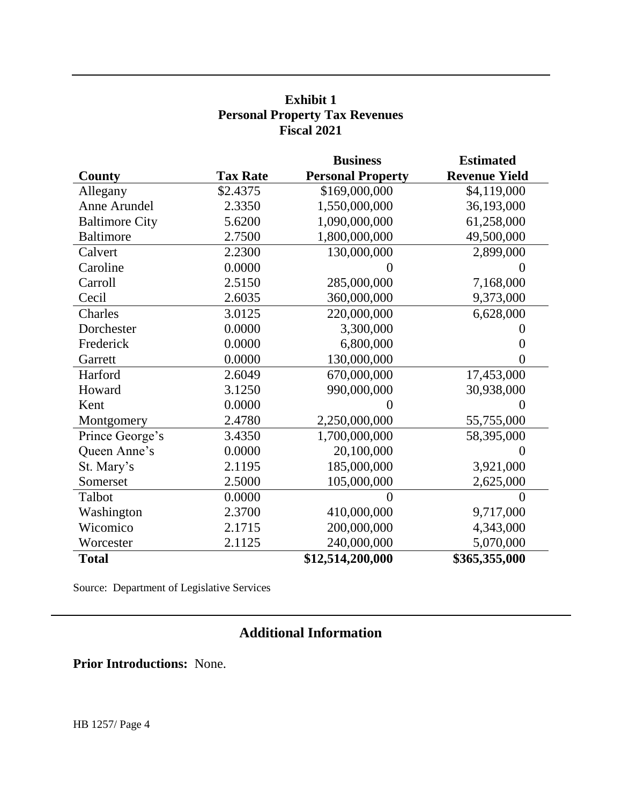## **Exhibit 1 Personal Property Tax Revenues Fiscal 2021**

|                       |                 | <b>Business</b>          | <b>Estimated</b>     |
|-----------------------|-----------------|--------------------------|----------------------|
| County                | <b>Tax Rate</b> | <b>Personal Property</b> | <b>Revenue Yield</b> |
| Allegany              | \$2.4375        | \$169,000,000            | \$4,119,000          |
| Anne Arundel          | 2.3350          | 1,550,000,000            | 36,193,000           |
| <b>Baltimore City</b> | 5.6200          | 1,090,000,000            | 61,258,000           |
| <b>Baltimore</b>      | 2.7500          | 1,800,000,000            | 49,500,000           |
| Calvert               | 2.2300          | 130,000,000              | 2,899,000            |
| Caroline              | 0.0000          |                          |                      |
| Carroll               | 2.5150          | 285,000,000              | 7,168,000            |
| Cecil                 | 2.6035          | 360,000,000              | 9,373,000            |
| Charles               | 3.0125          | 220,000,000              | 6,628,000            |
| Dorchester            | 0.0000          | 3,300,000                |                      |
| Frederick             | 0.0000          | 6,800,000                | $\theta$             |
| Garrett               | 0.0000          | 130,000,000              | $\overline{0}$       |
| Harford               | 2.6049          | 670,000,000              | 17,453,000           |
| Howard                | 3.1250          | 990,000,000              | 30,938,000           |
| Kent                  | 0.0000          |                          | 0                    |
| Montgomery            | 2.4780          | 2,250,000,000            | 55,755,000           |
| Prince George's       | 3.4350          | 1,700,000,000            | 58,395,000           |
| Queen Anne's          | 0.0000          | 20,100,000               | $\theta$             |
| St. Mary's            | 2.1195          | 185,000,000              | 3,921,000            |
| Somerset              | 2.5000          | 105,000,000              | 2,625,000            |
| Talbot                | 0.0000          | $\mathbf{\Omega}$        | $\theta$             |
| Washington            | 2.3700          | 410,000,000              | 9,717,000            |
| Wicomico              | 2.1715          | 200,000,000              | 4,343,000            |
| Worcester             | 2.1125          | 240,000,000              | 5,070,000            |
| <b>Total</b>          |                 | \$12,514,200,000         | \$365,355,000        |

Source: Department of Legislative Services

# **Additional Information**

**Prior Introductions:** None.